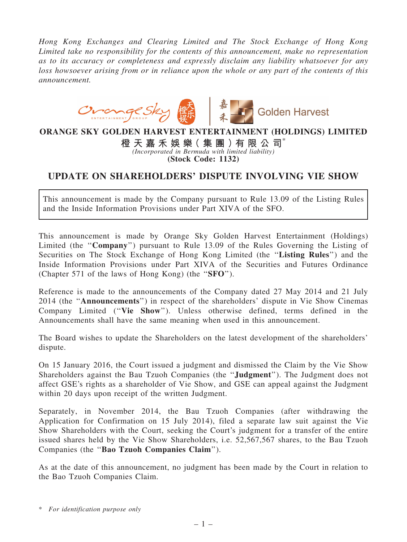*Hong Kong Exchanges and Clearing Limited and The Stock Exchange of Hong Kong Limited take no responsibility for the contents of this announcement, make no representation as to its accuracy or completeness and expressly disclaim any liability whatsoever for any loss howsoever arising from or in reliance upon the whole or any part of the contents of this announcement.*



## ORANGE SKY GOLDEN HARVEST ENTERTAINMENT (HOLDINGS) LIMITED

橙 天 嘉 禾 娛 樂( 集 團 )有 限 公 司\* *(Incorporated in Bermuda with limited liability)* (Stock Code: 1132)

## UPDATE ON SHAREHOLDERS' DISPUTE INVOLVING VIE SHOW

This announcement is made by the Company pursuant to Rule 13.09 of the Listing Rules and the Inside Information Provisions under Part XIVA of the SFO.

This announcement is made by Orange Sky Golden Harvest Entertainment (Holdings) Limited (the "Company") pursuant to Rule 13.09 of the Rules Governing the Listing of Securities on The Stock Exchange of Hong Kong Limited (the ''Listing Rules'') and the Inside Information Provisions under Part XIVA of the Securities and Futures Ordinance (Chapter 571 of the laws of Hong Kong) (the ''SFO'').

Reference is made to the announcements of the Company dated 27 May 2014 and 21 July 2014 (the ''Announcements'') in respect of the shareholders' dispute in Vie Show Cinemas Company Limited (''Vie Show''). Unless otherwise defined, terms defined in the Announcements shall have the same meaning when used in this announcement.

The Board wishes to update the Shareholders on the latest development of the shareholders' dispute.

On 15 January 2016, the Court issued a judgment and dismissed the Claim by the Vie Show Shareholders against the Bau Tzuoh Companies (the ''Judgment''). The Judgment does not affect GSE's rights as a shareholder of Vie Show, and GSE can appeal against the Judgment within 20 days upon receipt of the written Judgment.

Separately, in November 2014, the Bau Tzuoh Companies (after withdrawing the Application for Confirmation on 15 July 2014), filed a separate law suit against the Vie Show Shareholders with the Court, seeking the Court's judgment for a transfer of the entire issued shares held by the Vie Show Shareholders, i.e. 52,567,567 shares, to the Bau Tzuoh Companies (the ''Bao Tzuoh Companies Claim'').

As at the date of this announcement, no judgment has been made by the Court in relation to the Bao Tzuoh Companies Claim.

<sup>\*</sup> *For identification purpose only*